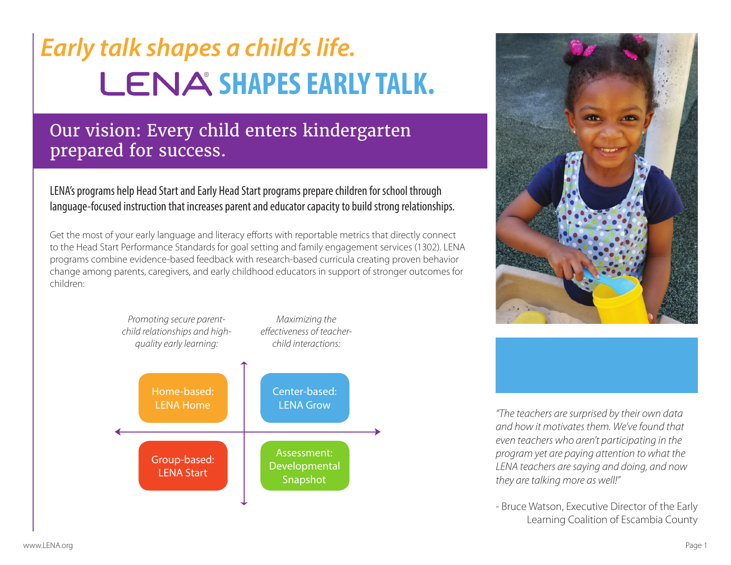# *Early talk shapes a child's life.* LENA SHAPES EARLY TALK.

## Our vision: Every child enters kindergarten prepared for success.

LENA's programs help Head Start and Early Head Start programs prepare children for school through language-focused instruction that increases parent and educator capacity to build strong relationships.

Get the most of your early language and literacy efforts with reportable metrics that directly connect to the Head Start Performance Standards for goal setting and family engagement services (1302). LENA programs combine evidence-based feedback with research-based curricula creating proven behavior change among parents, caregivers, and early childhood educators in support of stronger outcomes for children:







*"The teachers are surprised by their own data and how it motivates them. We've found that even teachers who aren't participating in the program yet are paying attention to what the LENA teachers are saying and doing, and now they are talking more as well!"*

- Bruce Watson, Executive Director of the Early Learning Coalition of Escambia County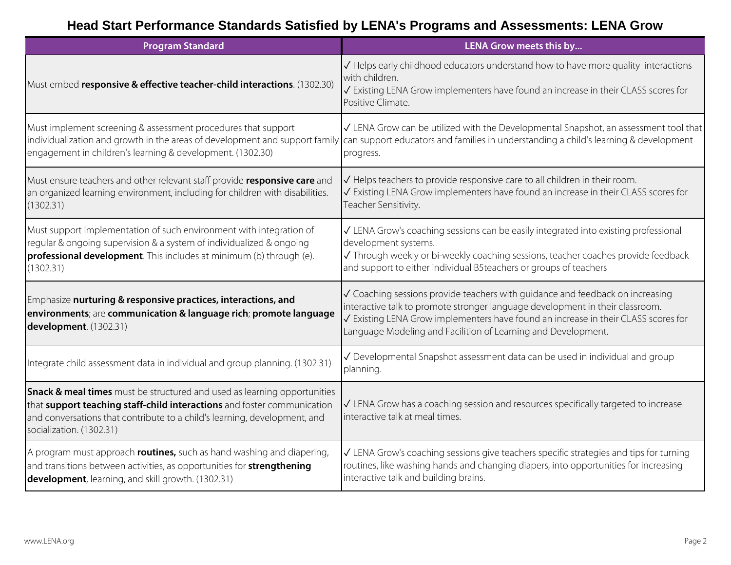### **Head Start Performance Standards Satisfied by LENA's Programs and Assessments: LENA Grow**

| <b>Program Standard</b>                                                                                                                                                                                                                                             | LENA Grow meets this by                                                                                                                                                                                                                                                                                               |
|---------------------------------------------------------------------------------------------------------------------------------------------------------------------------------------------------------------------------------------------------------------------|-----------------------------------------------------------------------------------------------------------------------------------------------------------------------------------------------------------------------------------------------------------------------------------------------------------------------|
| Must embed responsive & effective teacher-child interactions. (1302.30)                                                                                                                                                                                             | √ Helps early childhood educators understand how to have more quality interactions<br>with children.<br>√ Existing LENA Grow implementers have found an increase in their CLASS scores for<br>Positive Climate.                                                                                                       |
| Must implement screening & assessment procedures that support<br>engagement in children's learning & development. (1302.30)                                                                                                                                         | √ LENA Grow can be utilized with the Developmental Snapshot, an assessment tool that<br>individualization and growth in the areas of development and support family can support educators and families in understanding a child's learning & development<br>progress.                                                 |
| Must ensure teachers and other relevant staff provide responsive care and<br>an organized learning environment, including for children with disabilities.<br>(1302.31)                                                                                              | √ Helps teachers to provide responsive care to all children in their room.<br>√ Existing LENA Grow implementers have found an increase in their CLASS scores for<br>Teacher Sensitivity.                                                                                                                              |
| Must support implementation of such environment with integration of<br>regular & ongoing supervision & a system of individualized & ongoing<br>professional development. This includes at minimum (b) through (e).<br>(1302.31)                                     | √ LENA Grow's coaching sessions can be easily integrated into existing professional<br>development systems.<br>√ Through weekly or bi-weekly coaching sessions, teacher coaches provide feedback<br>and support to either individual B5teachers or groups of teachers                                                 |
| Emphasize nurturing & responsive practices, interactions, and<br>environments; are communication & language rich; promote language<br>development. (1302.31)                                                                                                        | √ Coaching sessions provide teachers with guidance and feedback on increasing<br>interactive talk to promote stronger language development in their classroom.<br>√ Existing LENA Grow implementers have found an increase in their CLASS scores for<br>Language Modeling and Facilition of Learning and Development. |
| Integrate child assessment data in individual and group planning. (1302.31)                                                                                                                                                                                         | √ Developmental Snapshot assessment data can be used in individual and group<br>planning.                                                                                                                                                                                                                             |
| Snack & meal times must be structured and used as learning opportunities<br>that <b>support teaching staff-child interactions</b> and foster communication<br>and conversations that contribute to a child's learning, development, and<br>socialization. (1302.31) | √ LENA Grow has a coaching session and resources specifically targeted to increase<br>interactive talk at meal times.                                                                                                                                                                                                 |
| A program must approach <b>routines,</b> such as hand washing and diapering,<br>and transitions between activities, as opportunities for strengthening<br>development, learning, and skill growth. (1302.31)                                                        | √ LENA Grow's coaching sessions give teachers specific strategies and tips for turning<br>routines, like washing hands and changing diapers, into opportunities for increasing<br>interactive talk and building brains.                                                                                               |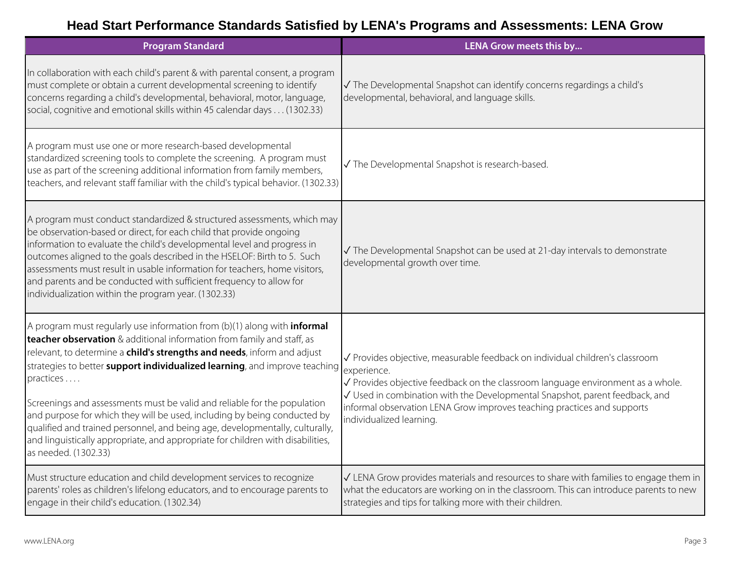### **Head Start Performance Standards Satisfied by LENA's Programs and Assessments: LENA Grow**

| <b>Program Standard</b>                                                                                                                                                                                                                                                                                                                                                                                                                                                                                                                                                                                                                                                            | LENA Grow meets this by                                                                                                                                                                                                                                                                                                                                              |
|------------------------------------------------------------------------------------------------------------------------------------------------------------------------------------------------------------------------------------------------------------------------------------------------------------------------------------------------------------------------------------------------------------------------------------------------------------------------------------------------------------------------------------------------------------------------------------------------------------------------------------------------------------------------------------|----------------------------------------------------------------------------------------------------------------------------------------------------------------------------------------------------------------------------------------------------------------------------------------------------------------------------------------------------------------------|
| In collaboration with each child's parent & with parental consent, a program<br>must complete or obtain a current developmental screening to identify<br>concerns regarding a child's developmental, behavioral, motor, language,<br>social, cognitive and emotional skills within 45 calendar days (1302.33)                                                                                                                                                                                                                                                                                                                                                                      | √ The Developmental Snapshot can identify concerns regardings a child's<br>developmental, behavioral, and language skills.                                                                                                                                                                                                                                           |
| A program must use one or more research-based developmental<br>standardized screening tools to complete the screening. A program must<br>use as part of the screening additional information from family members,<br>teachers, and relevant staff familiar with the child's typical behavior. (1302.33)                                                                                                                                                                                                                                                                                                                                                                            | √ The Developmental Snapshot is research-based.                                                                                                                                                                                                                                                                                                                      |
| A program must conduct standardized & structured assessments, which may<br>be observation-based or direct, for each child that provide ongoing<br>information to evaluate the child's developmental level and progress in<br>outcomes aligned to the goals described in the HSELOF: Birth to 5. Such<br>assessments must result in usable information for teachers, home visitors,<br>and parents and be conducted with sufficient frequency to allow for<br>individualization within the program year. (1302.33)                                                                                                                                                                  | √ The Developmental Snapshot can be used at 21-day intervals to demonstrate<br>developmental growth over time.                                                                                                                                                                                                                                                       |
| A program must regularly use information from (b)(1) along with <i>informal</i><br>teacher observation & additional information from family and staff, as<br>relevant, to determine a child's strengths and needs, inform and adjust<br>strategies to better support individualized learning, and improve teaching<br>practices<br>Screenings and assessments must be valid and reliable for the population<br>and purpose for which they will be used, including by being conducted by<br>qualified and trained personnel, and being age, developmentally, culturally,<br>and linguistically appropriate, and appropriate for children with disabilities,<br>as needed. (1302.33) | √ Provides objective, measurable feedback on individual children's classroom<br>experience.<br>√ Provides objective feedback on the classroom language environment as a whole.<br>√ Used in combination with the Developmental Snapshot, parent feedback, and<br>informal observation LENA Grow improves teaching practices and supports<br>individualized learning. |
| Must structure education and child development services to recognize<br>parents' roles as children's lifelong educators, and to encourage parents to<br>engage in their child's education. (1302.34)                                                                                                                                                                                                                                                                                                                                                                                                                                                                               | √ LENA Grow provides materials and resources to share with families to engage them in<br>what the educators are working on in the classroom. This can introduce parents to new<br>strategies and tips for talking more with their children.                                                                                                                          |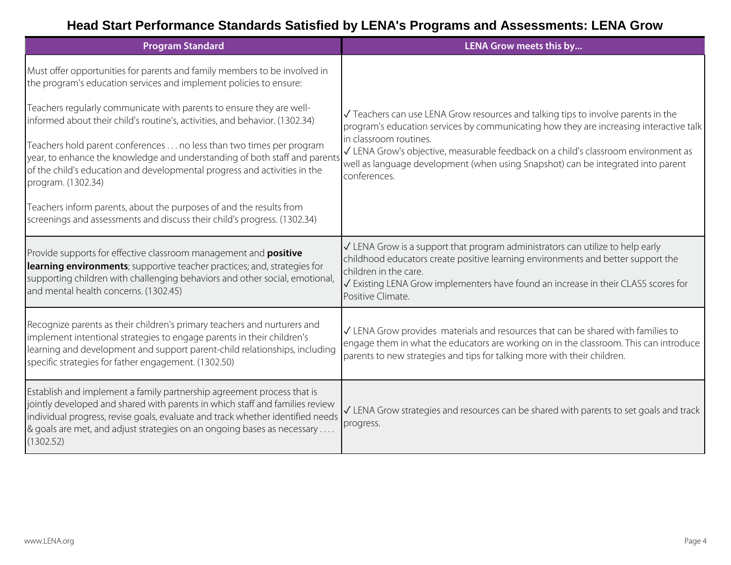### **Head Start Performance Standards Satisfied by LENA's Programs and Assessments: LENA Grow**

| <b>Program Standard</b>                                                                                                                                                                                                                                                                                                          | LENA Grow meets this by                                                                                                                                                                                                                                                                                                                                                                         |
|----------------------------------------------------------------------------------------------------------------------------------------------------------------------------------------------------------------------------------------------------------------------------------------------------------------------------------|-------------------------------------------------------------------------------------------------------------------------------------------------------------------------------------------------------------------------------------------------------------------------------------------------------------------------------------------------------------------------------------------------|
| Must offer opportunities for parents and family members to be involved in<br>the program's education services and implement policies to ensure:                                                                                                                                                                                  |                                                                                                                                                                                                                                                                                                                                                                                                 |
| Teachers regularly communicate with parents to ensure they are well-<br>informed about their child's routine's, activities, and behavior. (1302.34)                                                                                                                                                                              | √ Teachers can use LENA Grow resources and talking tips to involve parents in the<br>program's education services by communicating how they are increasing interactive talk<br>in classroom routines.<br>√ LENA Grow's objective, measurable feedback on a child's classroom environment as<br>well as language development (when using Snapshot) can be integrated into parent<br>conferences. |
| Teachers hold parent conferences no less than two times per program<br>year, to enhance the knowledge and understanding of both staff and parent<br>of the child's education and developmental progress and activities in the<br>program. (1302.34)                                                                              |                                                                                                                                                                                                                                                                                                                                                                                                 |
| Teachers inform parents, about the purposes of and the results from<br>screenings and assessments and discuss their child's progress. (1302.34)                                                                                                                                                                                  |                                                                                                                                                                                                                                                                                                                                                                                                 |
| Provide supports for effective classroom management and <b>positive</b><br>learning environments; supportive teacher practices; and, strategies for<br>supporting children with challenging behaviors and other social, emotional,<br>and mental health concerns. (1302.45)                                                      | $\sqrt{}$ LENA Grow is a support that program administrators can utilize to help early<br>childhood educators create positive learning environments and better support the<br>children in the care.<br>√ Existing LENA Grow implementers have found an increase in their CLASS scores for<br>Positive Climate.                                                                                  |
| Recognize parents as their children's primary teachers and nurturers and<br>implement intentional strategies to engage parents in their children's<br>learning and development and support parent-child relationships, including<br>specific strategies for father engagement. (1302.50)                                         | √ LENA Grow provides materials and resources that can be shared with families to<br>engage them in what the educators are working on in the classroom. This can introduce<br>parents to new strategies and tips for talking more with their children.                                                                                                                                           |
| Establish and implement a family partnership agreement process that is<br>jointly developed and shared with parents in which staff and families review<br>individual progress, revise goals, evaluate and track whether identified needs<br>& goals are met, and adjust strategies on an ongoing bases as necessary<br>(1302.52) | $\sqrt{}$ LENA Grow strategies and resources can be shared with parents to set goals and track<br>progress.                                                                                                                                                                                                                                                                                     |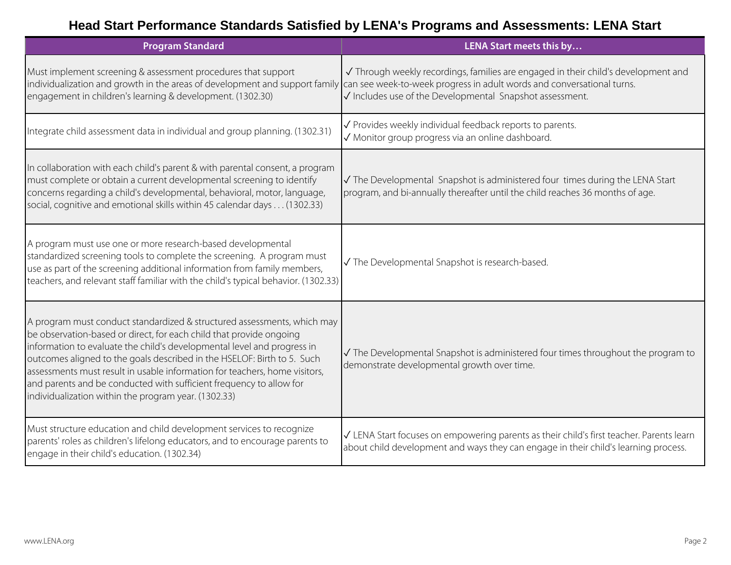### **Head Start Performance Standards Satisfied by LENA's Programs and Assessments: LENA Start**

| <b>Program Standard</b>                                                                                                                                                                                                                                                                                                                                                                                                                                                                                           | LENA Start meets this by                                                                                                                                                        |
|-------------------------------------------------------------------------------------------------------------------------------------------------------------------------------------------------------------------------------------------------------------------------------------------------------------------------------------------------------------------------------------------------------------------------------------------------------------------------------------------------------------------|---------------------------------------------------------------------------------------------------------------------------------------------------------------------------------|
| Must implement screening & assessment procedures that support<br>individualization and growth in the areas of development and support family $\vert$ can see week-to-week progress in adult words and conversational turns.<br>engagement in children's learning & development. (1302.30)                                                                                                                                                                                                                         | √ Through weekly recordings, families are engaged in their child's development and<br>√ Includes use of the Developmental Snapshot assessment.                                  |
| Integrate child assessment data in individual and group planning. (1302.31)                                                                                                                                                                                                                                                                                                                                                                                                                                       | √ Provides weekly individual feedback reports to parents.<br>√ Monitor group progress via an online dashboard.                                                                  |
| In collaboration with each child's parent & with parental consent, a program<br>must complete or obtain a current developmental screening to identify<br>concerns regarding a child's developmental, behavioral, motor, language,<br>social, cognitive and emotional skills within 45 calendar days (1302.33)                                                                                                                                                                                                     | √ The Developmental Snapshot is administered four times during the LENA Start<br>program, and bi-annually thereafter until the child reaches 36 months of age.                  |
| A program must use one or more research-based developmental<br>standardized screening tools to complete the screening. A program must<br>use as part of the screening additional information from family members,<br>teachers, and relevant staff familiar with the child's typical behavior. (1302.33)                                                                                                                                                                                                           | √ The Developmental Snapshot is research-based.                                                                                                                                 |
| A program must conduct standardized & structured assessments, which may<br>be observation-based or direct, for each child that provide ongoing<br>information to evaluate the child's developmental level and progress in<br>outcomes aligned to the goals described in the HSELOF: Birth to 5. Such<br>assessments must result in usable information for teachers, home visitors,<br>and parents and be conducted with sufficient frequency to allow for<br>individualization within the program year. (1302.33) | √ The Developmental Snapshot is administered four times throughout the program to<br>demonstrate developmental growth over time.                                                |
| Must structure education and child development services to recognize<br>parents' roles as children's lifelong educators, and to encourage parents to<br>engage in their child's education. (1302.34)                                                                                                                                                                                                                                                                                                              | √ LENA Start focuses on empowering parents as their child's first teacher. Parents learn<br>about child development and ways they can engage in their child's learning process. |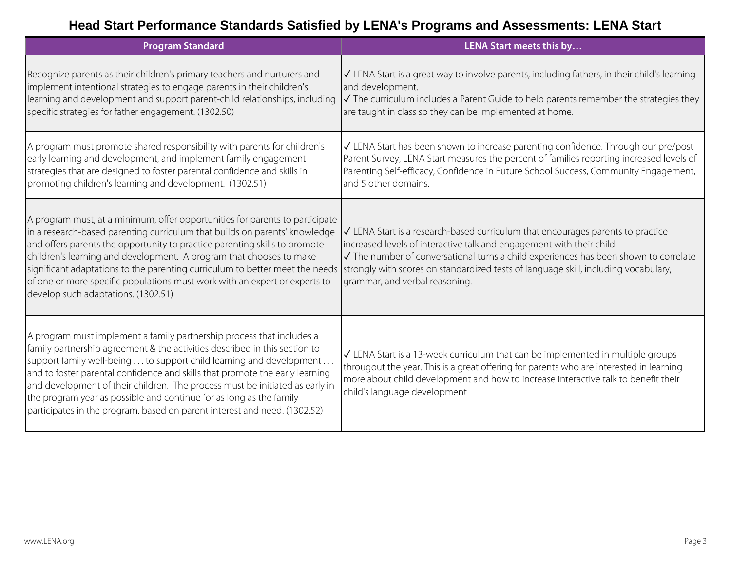### **Head Start Performance Standards Satisfied by LENA's Programs and Assessments: LENA Start**

| <b>Program Standard</b>                                                                                                                                                                                                                                                                                                                                                                                                                                                                                                                        | LENA Start meets this by                                                                                                                                                                                                                                                                                                                                                          |
|------------------------------------------------------------------------------------------------------------------------------------------------------------------------------------------------------------------------------------------------------------------------------------------------------------------------------------------------------------------------------------------------------------------------------------------------------------------------------------------------------------------------------------------------|-----------------------------------------------------------------------------------------------------------------------------------------------------------------------------------------------------------------------------------------------------------------------------------------------------------------------------------------------------------------------------------|
| Recognize parents as their children's primary teachers and nurturers and<br>implement intentional strategies to engage parents in their children's<br>learning and development and support parent-child relationships, including<br>specific strategies for father engagement. (1302.50)                                                                                                                                                                                                                                                       | √ LENA Start is a great way to involve parents, including fathers, in their child's learning<br>and development.<br>$\sqrt{}$ The curriculum includes a Parent Guide to help parents remember the strategies they<br>are taught in class so they can be implemented at home.                                                                                                      |
| A program must promote shared responsibility with parents for children's<br>early learning and development, and implement family engagement<br>strategies that are designed to foster parental confidence and skills in<br>promoting children's learning and development. (1302.51)                                                                                                                                                                                                                                                            | √ LENA Start has been shown to increase parenting confidence. Through our pre/post<br>Parent Survey, LENA Start measures the percent of families reporting increased levels of<br>Parenting Self-efficacy, Confidence in Future School Success, Community Engagement,<br>and 5 other domains.                                                                                     |
| A program must, at a minimum, offer opportunities for parents to participate<br>in a research-based parenting curriculum that builds on parents' knowledge<br>and offers parents the opportunity to practice parenting skills to promote<br>children's learning and development. A program that chooses to make<br>significant adaptations to the parenting curriculum to better meet the needs<br>of one or more specific populations must work with an expert or experts to<br>develop such adaptations. (1302.51)                           | $\sqrt{}$ LENA Start is a research-based curriculum that encourages parents to practice<br>increased levels of interactive talk and engagement with their child.<br>√ The number of conversational turns a child experiences has been shown to correlate<br>strongly with scores on standardized tests of language skill, including vocabulary,<br>grammar, and verbal reasoning. |
| A program must implement a family partnership process that includes a<br>family partnership agreement & the activities described in this section to<br>support family well-being to support child learning and development<br>and to foster parental confidence and skills that promote the early learning<br>and development of their children. The process must be initiated as early in<br>the program year as possible and continue for as long as the family<br>participates in the program, based on parent interest and need. (1302.52) | √ LENA Start is a 13-week curriculum that can be implemented in multiple groups<br>througout the year. This is a great offering for parents who are interested in learning<br>more about child development and how to increase interactive talk to benefit their<br>child's language development                                                                                  |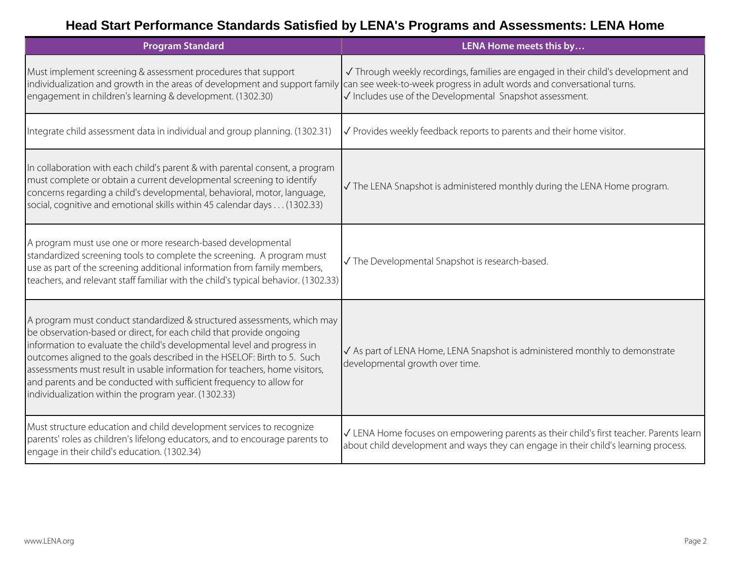### **Head Start Performance Standards Satisfied by LENA's Programs and Assessments: LENA Home**

| <b>Program Standard</b>                                                                                                                                                                                                                                                                                                                                                                                                                                                                                           | LENA Home meets this by                                                                                                                                                        |
|-------------------------------------------------------------------------------------------------------------------------------------------------------------------------------------------------------------------------------------------------------------------------------------------------------------------------------------------------------------------------------------------------------------------------------------------------------------------------------------------------------------------|--------------------------------------------------------------------------------------------------------------------------------------------------------------------------------|
| Must implement screening & assessment procedures that support<br>individualization and growth in the areas of development and support family $\vert$ can see week-to-week progress in adult words and conversational turns.<br>engagement in children's learning & development. (1302.30)                                                                                                                                                                                                                         | √ Through weekly recordings, families are engaged in their child's development and<br>√ Includes use of the Developmental Snapshot assessment.                                 |
| Integrate child assessment data in individual and group planning. (1302.31)                                                                                                                                                                                                                                                                                                                                                                                                                                       | √ Provides weekly feedback reports to parents and their home visitor.                                                                                                          |
| In collaboration with each child's parent & with parental consent, a program<br>must complete or obtain a current developmental screening to identify<br>concerns regarding a child's developmental, behavioral, motor, language,<br>social, cognitive and emotional skills within 45 calendar days (1302.33)                                                                                                                                                                                                     | √ The LENA Snapshot is administered monthly during the LENA Home program.                                                                                                      |
| A program must use one or more research-based developmental<br>standardized screening tools to complete the screening. A program must<br>use as part of the screening additional information from family members,<br>teachers, and relevant staff familiar with the child's typical behavior. (1302.33)                                                                                                                                                                                                           | √ The Developmental Snapshot is research-based.                                                                                                                                |
| A program must conduct standardized & structured assessments, which may<br>be observation-based or direct, for each child that provide ongoing<br>information to evaluate the child's developmental level and progress in<br>outcomes aligned to the goals described in the HSELOF: Birth to 5. Such<br>assessments must result in usable information for teachers, home visitors,<br>and parents and be conducted with sufficient frequency to allow for<br>individualization within the program year. (1302.33) | √ As part of LENA Home, LENA Snapshot is administered monthly to demonstrate<br>developmental growth over time.                                                                |
| Must structure education and child development services to recognize<br>parents' roles as children's lifelong educators, and to encourage parents to<br>engage in their child's education. (1302.34)                                                                                                                                                                                                                                                                                                              | √ LENA Home focuses on empowering parents as their child's first teacher. Parents learn<br>about child development and ways they can engage in their child's learning process. |